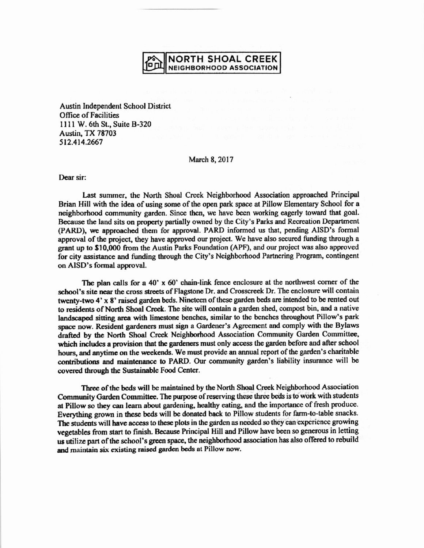## **NORTH SHOAL CREEK NEIGHBORHOOD ASSOCIATION**

Austin Independent School District **Office of Facilities** 1111 W. 6th St., Suite B-320 **Austin, TX 78703** 512.414.2667

March 8, 2017

Dear sir:

Last summer, the North Shoal Creek Neighborhood Association approached Principal Brian Hill with the idea of using some of the open park space at Pillow Elementary School for a neighborhood community garden. Since then, we have been working eagerly toward that goal. Because the land sits on property partially owned by the City's Parks and Recreation Department (PARD), we approached them for approval. PARD informed us that, pending AISD's formal approval of the project, they have approved our project. We have also secured funding through a grant up to \$10,000 from the Austin Parks Foundation (APF), and our project was also approved for city assistance and funding through the City's Neighborhood Partnering Program, contingent on AISD's formal approval.

The plan calls for a 40'  $x$  60' chain-link fence enclosure at the northwest corner of the school's site near the cross streets of Flagstone Dr. and Crosscreek Dr. The enclosure will contain twenty-two 4' x 8' raised garden beds. Nineteen of these garden beds are intended to be rented out to residents of North Shoal Creek. The site will contain a garden shed, compost bin, and a native landscaped sitting area with limestone benches, similar to the benches throughout Pillow's park space now. Resident gardeners must sign a Gardener's Agreement and comply with the Bylaws drafted by the North Shoal Creek Neighborhood Association Community Garden Committee. which includes a provision that the gardeners must only access the garden before and after school hours, and anytime on the weekends. We must provide an annual report of the garden's charitable contributions and maintenance to PARD. Our community garden's liability insurance will be covered through the Sustainable Food Center.

Three of the beds will be maintained by the North Shoal Creek Neighborhood Association Community Garden Committee. The purpose of reserving these three beds is to work with students at Pillow so they can learn about gardening, healthy eating, and the importance of fresh produce. Everything grown in these beds will be donated back to Pillow students for farm-to-table snacks. The students will have access to these plots in the garden as needed so they can experience growing vegetables from start to finish. Because Principal Hill and Pillow have been so generous in letting us utilize part of the school's green space, the neighborhood association has also offered to rebuild and maintain six existing raised garden beds at Pillow now.